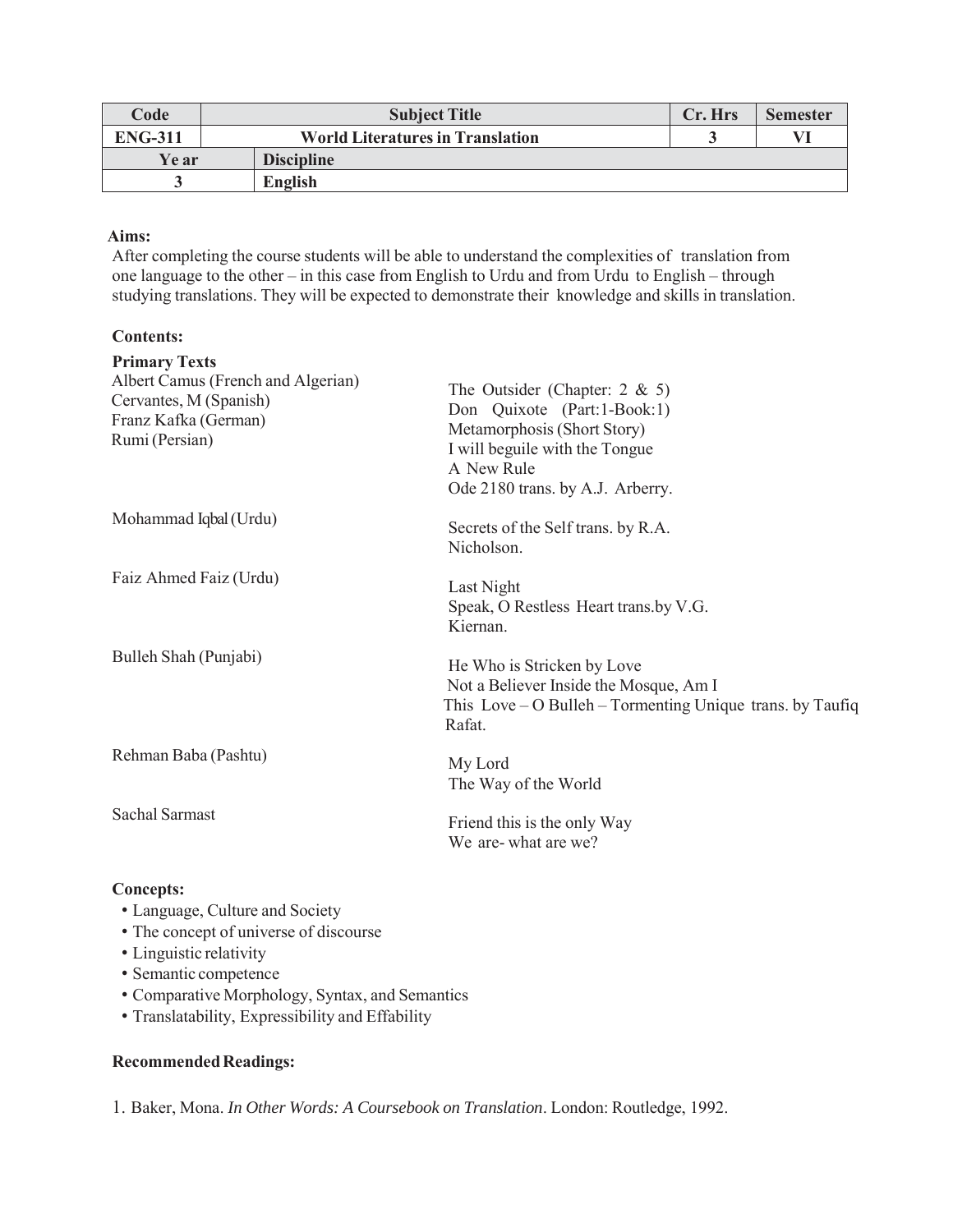| Code           | <b>Subject Title</b>                    | Cr. Hrs | <b>Semester</b> |
|----------------|-----------------------------------------|---------|-----------------|
| <b>ENG-311</b> | <b>World Literatures in Translation</b> |         |                 |
| Ye ar          | <b>Discipline</b>                       |         |                 |
|                | <b>English</b>                          |         |                 |

## **Aims:**

After completing the course students will be able to understand the complexities of translation from one language to the other – in this case from English to Urdu and from Urdu to English – through studying translations. They will be expected to demonstrate their knowledge and skills in translation.

## **Contents:**

| <b>Primary Texts</b><br>Albert Camus (French and Algerian)<br>Cervantes, M (Spanish)<br>Franz Kafka (German)<br>Rumi (Persian) | The Outsider (Chapter: $2 \& 5$ )<br>Don Quixote (Part:1-Book:1)<br>Metamorphosis (Short Story)<br>I will beguile with the Tongue<br>A New Rule<br>Ode 2180 trans. by A.J. Arberry. |
|--------------------------------------------------------------------------------------------------------------------------------|-------------------------------------------------------------------------------------------------------------------------------------------------------------------------------------|
| Mohammad Iqbal (Urdu)                                                                                                          | Secrets of the Self trans. by R.A.<br>Nicholson.                                                                                                                                    |
| Faiz Ahmed Faiz (Urdu)                                                                                                         | Last Night<br>Speak, O Restless Heart trans.by V.G.<br>Kiernan.                                                                                                                     |
| Bulleh Shah (Punjabi)                                                                                                          | He Who is Stricken by Love<br>Not a Believer Inside the Mosque, Am I<br>This $Love - O Bulleh - Tormenting Unique trans. by Tauffiq$<br>Rafat.                                      |
| Rehman Baba (Pashtu)                                                                                                           | My Lord<br>The Way of the World                                                                                                                                                     |
| Sachal Sarmast                                                                                                                 | Friend this is the only Way<br>We are-what are we?                                                                                                                                  |

## **Concepts:**

- Language, Culture and Society
- The concept of universe of discourse
- Linguistic relativity
- Semantic competence
- Comparative Morphology, Syntax, and Semantics
- Translatability, Expressibility and Effability

## **Recommended Readings:**

1. Baker, Mona. *In Other Words: A Coursebook on Translation*. London: Routledge, 1992.